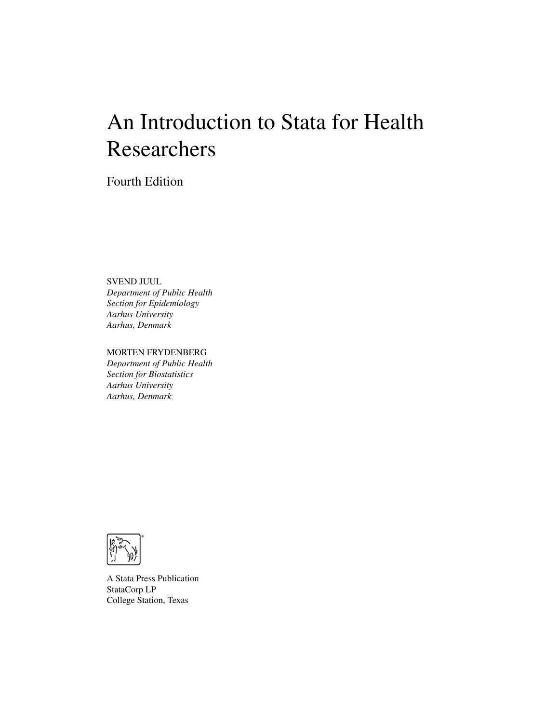# An Introduction to Stata for Health Researchers

Fourth Edition

SVEND JUUL

*Department of Public Health Section for Epidemiology Aarhus University Aarhus, Denmark*

#### MORTEN FRYDENBERG

*Department of Public Health Section for Biostatistics Aarhus University Aarhus, Denmark*



A Stata Press Publication StataCorp LP College Station, Texas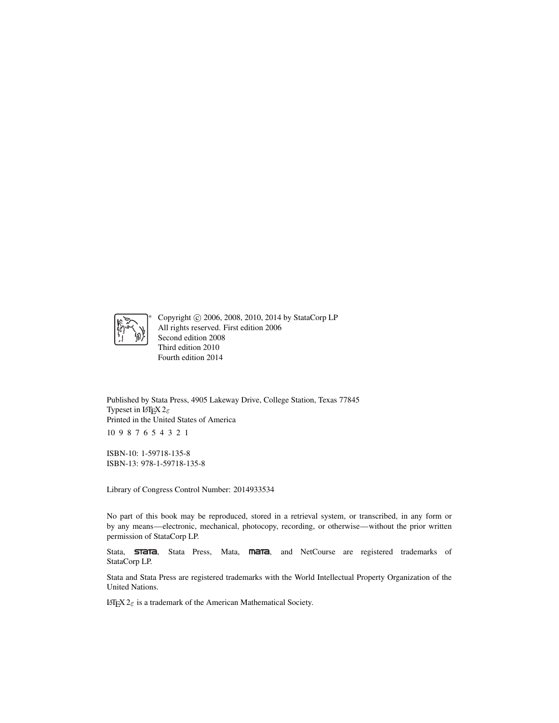

Copyright © 2006, 2008, 2010, 2014 by StataCorp LP All rights reserved. First edition 2006 Second edition 2008 Third edition 2010 Fourth edition 2014

Published by Stata Press, 4905 Lakeway Drive, College Station, Texas 77845 Typeset in LATEX  $2\varepsilon$ Printed in the United States of America 10 9 8 7 6 5 4 3 2 1

ISBN-10: 1-59718-135-8 ISBN-13: 978-1-59718-135-8

Library of Congress Control Number: 2014933534

No part of this book may be reproduced, stored in a retrieval system, or transcribed, in any form or by any means—electronic, mechanical, photocopy, recording, or otherwise—without the prior written permission of StataCorp LP.

Stata, **STATA**, Stata Press, Mata, **mata**, and NetCourse are registered trademarks of StataCorp LP.

Stata and Stata Press are registered trademarks with the World Intellectual Property Organization of the United Nations.

LATEX 2 $\varepsilon$  is a trademark of the American Mathematical Society.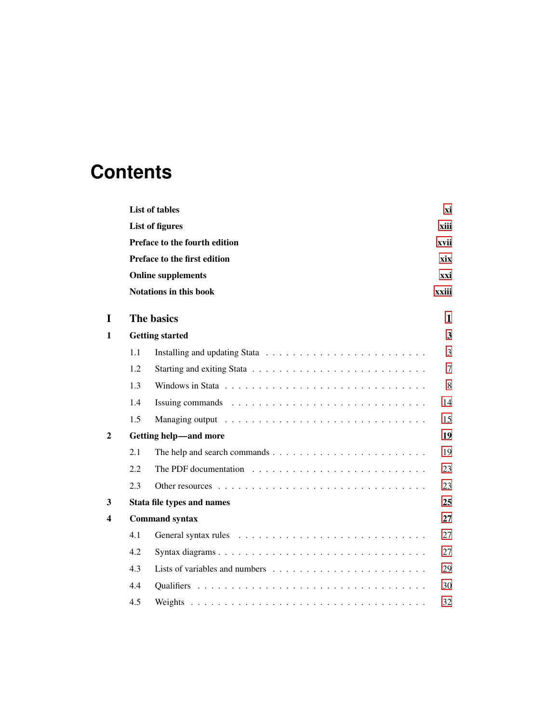# **Contents**

|                  |     | List of tables                                                                       | хi    |
|------------------|-----|--------------------------------------------------------------------------------------|-------|
|                  |     | <b>List of figures</b>                                                               | xiii  |
|                  |     | Preface to the fourth edition                                                        | xvii  |
|                  |     | Preface to the first edition                                                         | xix   |
|                  |     | <b>Online supplements</b>                                                            | xxi   |
|                  |     | <b>Notations in this book</b>                                                        | xxiii |
| I                |     | The basics                                                                           | 1     |
| 1                |     | <b>Getting started</b>                                                               | 3     |
|                  | 1.1 |                                                                                      | 3     |
|                  | 1.2 |                                                                                      | 7     |
|                  | 1.3 |                                                                                      | 8     |
|                  | 1.4 |                                                                                      | 14    |
|                  | 1.5 |                                                                                      | 15    |
| $\boldsymbol{2}$ |     | Getting help-and more                                                                | 19    |
|                  | 2.1 | The help and search commands $\dots \dots \dots \dots \dots \dots \dots \dots \dots$ | 19    |
|                  | 2.2 |                                                                                      | 23    |
|                  | 2.3 |                                                                                      | 23    |
| 3                |     | Stata file types and names                                                           | 25    |
| 4                |     | <b>Command syntax</b>                                                                | 27    |
|                  | 4.1 |                                                                                      | 27    |
|                  | 4.2 |                                                                                      | 27    |
|                  | 4.3 |                                                                                      | 29    |
|                  | 4.4 |                                                                                      | 30    |
|                  | 4.5 |                                                                                      | 32    |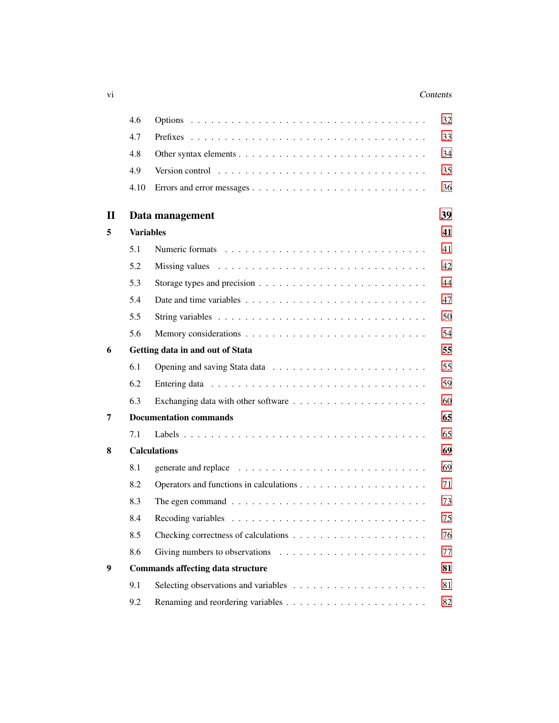#### vi Contents

|              | 4.6              |                                                                                          | 32 |
|--------------|------------------|------------------------------------------------------------------------------------------|----|
|              | 4.7              |                                                                                          | 33 |
|              | 4.8              |                                                                                          | 34 |
|              | 4.9              | Version control $\ldots \ldots \ldots \ldots \ldots \ldots \ldots \ldots \ldots \ldots$  | 35 |
|              | 4.10             |                                                                                          | 36 |
| $\mathbf{I}$ |                  | Data management                                                                          | 39 |
| 5            | <b>Variables</b> |                                                                                          | 41 |
|              | 5.1              |                                                                                          | 41 |
|              | 5.2              |                                                                                          | 42 |
|              | 5.3              | Storage types and precision $\dots \dots \dots \dots \dots \dots \dots \dots \dots$      | 44 |
|              | 5.4              |                                                                                          | 47 |
|              | 5.5              | String variables $\ldots \ldots \ldots \ldots \ldots \ldots \ldots \ldots \ldots \ldots$ | 50 |
|              | 5.6              |                                                                                          | 54 |
| 6            |                  | Getting data in and out of Stata                                                         | 55 |
|              | 6.1              |                                                                                          | 55 |
|              | 6.2              |                                                                                          | 59 |
|              | 6.3              |                                                                                          | 60 |
| 7            |                  | <b>Documentation commands</b>                                                            | 65 |
|              | 7.1              |                                                                                          | 65 |
| 8            |                  | <b>Calculations</b>                                                                      | 69 |
|              | 8.1              |                                                                                          | 69 |
|              | 8.2              |                                                                                          | 71 |
|              | 8.3              | The egen command $\ldots \ldots \ldots \ldots \ldots \ldots \ldots \ldots \ldots \ldots$ | 73 |
|              | 8.4              |                                                                                          | 75 |
|              | 8.5              |                                                                                          | 76 |
|              | 8.6              |                                                                                          | 77 |
| 9            |                  | <b>Commands affecting data structure</b>                                                 | 81 |
|              | 9.1              |                                                                                          | 81 |
|              | 9.2              |                                                                                          | 82 |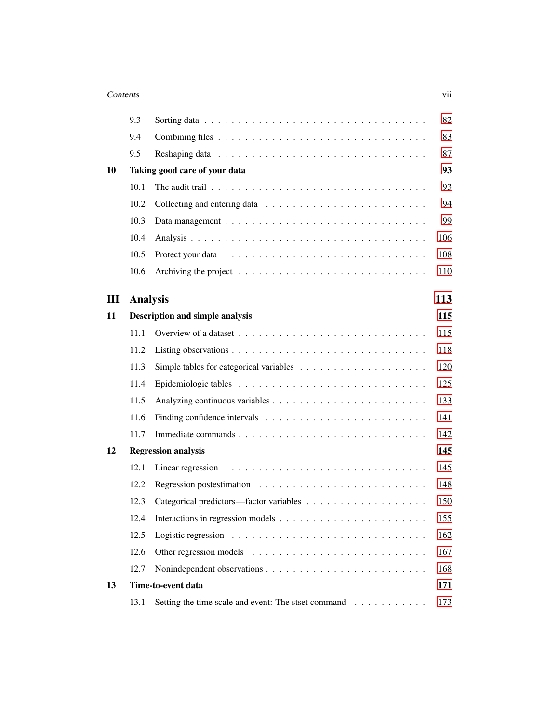| Contents | V11 |
|----------|-----|
|          |     |
|          |     |

|    | 9.3             |                                                                                        | 82  |
|----|-----------------|----------------------------------------------------------------------------------------|-----|
|    | 9.4             |                                                                                        | 83  |
|    | 9.5             |                                                                                        | 87  |
| 10 |                 | Taking good care of your data                                                          | 93  |
|    | 10.1            |                                                                                        | 93  |
|    | 10.2            |                                                                                        | 94  |
|    | 10.3            |                                                                                        | 99  |
|    | 10.4            |                                                                                        | 106 |
|    | 10.5            |                                                                                        | 108 |
|    | 10.6            | Archiving the project $\ldots \ldots \ldots \ldots \ldots \ldots \ldots \ldots \ldots$ | 110 |
| Ш  | <b>Analysis</b> |                                                                                        | 113 |
| 11 |                 | <b>Description and simple analysis</b>                                                 | 115 |
|    | 11.1            |                                                                                        | 115 |
|    | 11.2            |                                                                                        | 118 |
|    | 11.3            |                                                                                        | 120 |
|    | 11.4            |                                                                                        | 125 |
|    | 11.5            |                                                                                        | 133 |
|    | 11.6            |                                                                                        | 141 |
|    | 11.7            |                                                                                        | 142 |
| 12 |                 | <b>Regression analysis</b>                                                             | 145 |
|    | 12.1            |                                                                                        | 145 |
|    | 12.2            | Regression postestimation $\ldots \ldots \ldots \ldots \ldots \ldots \ldots \ldots$    | 148 |
|    | 12.3            |                                                                                        | 150 |
|    | 12.4            |                                                                                        | 155 |
|    | 12.5            |                                                                                        | 162 |
|    | 12.6            |                                                                                        | 167 |
|    | 12.7            |                                                                                        | 168 |
| 13 |                 | Time-to-event data                                                                     | 171 |
|    | 13.1            | Setting the time scale and event: The stset command                                    | 173 |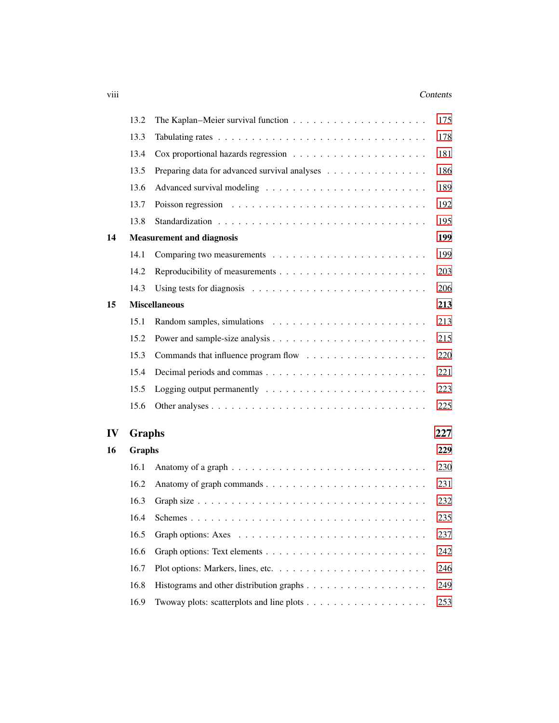#### viii Contents

|    | 13.2          | The Kaplan–Meier survival function $\ldots \ldots \ldots \ldots \ldots \ldots \ldots$ | 175 |
|----|---------------|---------------------------------------------------------------------------------------|-----|
|    | 13.3          |                                                                                       | 178 |
|    | 13.4          |                                                                                       | 181 |
|    | 13.5          | Preparing data for advanced survival analyses                                         | 186 |
|    | 13.6          |                                                                                       | 189 |
|    | 13.7          |                                                                                       | 192 |
|    | 13.8          |                                                                                       | 195 |
| 14 |               | <b>Measurement and diagnosis</b>                                                      | 199 |
|    | 14.1          |                                                                                       | 199 |
|    | 14.2          |                                                                                       | 203 |
|    | 14.3          | Using tests for diagnosis $\ldots \ldots \ldots \ldots \ldots \ldots \ldots \ldots$   | 206 |
| 15 |               | <b>Miscellaneous</b>                                                                  | 213 |
|    | 15.1          |                                                                                       | 213 |
|    | 15.2          |                                                                                       | 215 |
|    | 15.3          |                                                                                       | 220 |
|    | 15.4          |                                                                                       | 221 |
|    | 15.5          |                                                                                       | 223 |
|    | 15.6          |                                                                                       | 225 |
| IV | <b>Graphs</b> |                                                                                       | 227 |
| 16 | <b>Graphs</b> |                                                                                       | 229 |
|    | 16.1          |                                                                                       | 230 |
|    | 16.2          |                                                                                       | 231 |
|    | 16.3          |                                                                                       | 232 |
|    | 16.4          |                                                                                       | 235 |
|    | 16.5          |                                                                                       | 237 |
|    | 16.6          |                                                                                       | 242 |
|    | 16.7          |                                                                                       | 246 |
|    | 16.8          |                                                                                       | 249 |
|    | 16.9          |                                                                                       | 253 |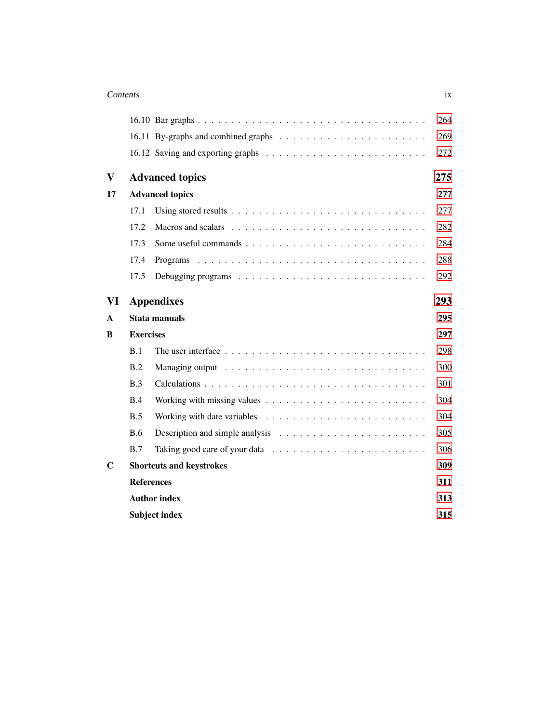#### **Contents** ix

|            |                                                                                     | 264                                                                                                                                                                                                                      |
|------------|-------------------------------------------------------------------------------------|--------------------------------------------------------------------------------------------------------------------------------------------------------------------------------------------------------------------------|
|            |                                                                                     | 269                                                                                                                                                                                                                      |
|            |                                                                                     | 272                                                                                                                                                                                                                      |
|            |                                                                                     | 275                                                                                                                                                                                                                      |
|            |                                                                                     | 277                                                                                                                                                                                                                      |
| 17.1       |                                                                                     | 277                                                                                                                                                                                                                      |
| 17.2       |                                                                                     | 282                                                                                                                                                                                                                      |
| 17.3       |                                                                                     | 284                                                                                                                                                                                                                      |
| 17.4       |                                                                                     | 288                                                                                                                                                                                                                      |
| 17.5       |                                                                                     | 292                                                                                                                                                                                                                      |
|            |                                                                                     | 293                                                                                                                                                                                                                      |
|            |                                                                                     | 295                                                                                                                                                                                                                      |
|            |                                                                                     | 297                                                                                                                                                                                                                      |
| B.1        |                                                                                     | 298                                                                                                                                                                                                                      |
| B.2        |                                                                                     | 300                                                                                                                                                                                                                      |
| B.3        |                                                                                     | 301                                                                                                                                                                                                                      |
| B.4        | Working with missing values $\dots \dots \dots \dots \dots \dots \dots \dots \dots$ | 304                                                                                                                                                                                                                      |
| B.5        | Working with date variables $\ldots \ldots \ldots \ldots \ldots \ldots \ldots$      | 304                                                                                                                                                                                                                      |
| <b>B.6</b> |                                                                                     | 305                                                                                                                                                                                                                      |
| B.7        |                                                                                     | 306                                                                                                                                                                                                                      |
|            |                                                                                     | 309                                                                                                                                                                                                                      |
|            |                                                                                     | 311                                                                                                                                                                                                                      |
|            |                                                                                     | 313                                                                                                                                                                                                                      |
|            |                                                                                     | 315                                                                                                                                                                                                                      |
|            |                                                                                     | <b>Advanced topics</b><br><b>Advanced topics</b><br><b>Appendixes</b><br><b>Stata manuals</b><br><b>Exercises</b><br><b>Shortcuts and keystrokes</b><br><b>References</b><br><b>Author index</b><br><b>Subject index</b> |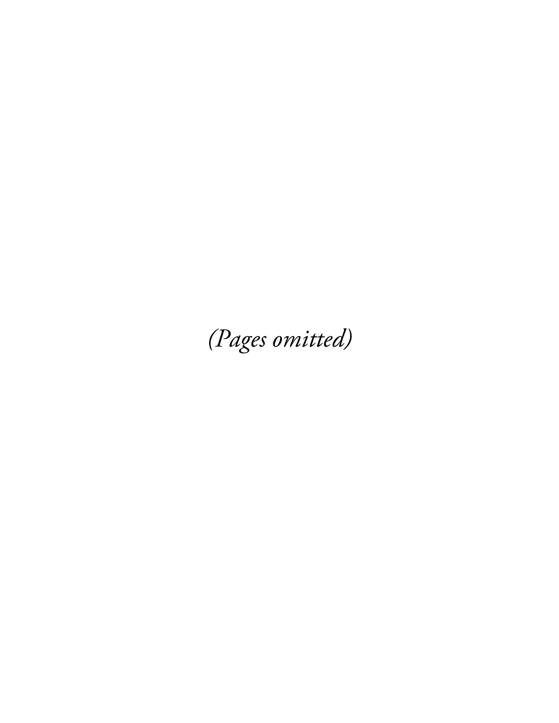(Pages omitted)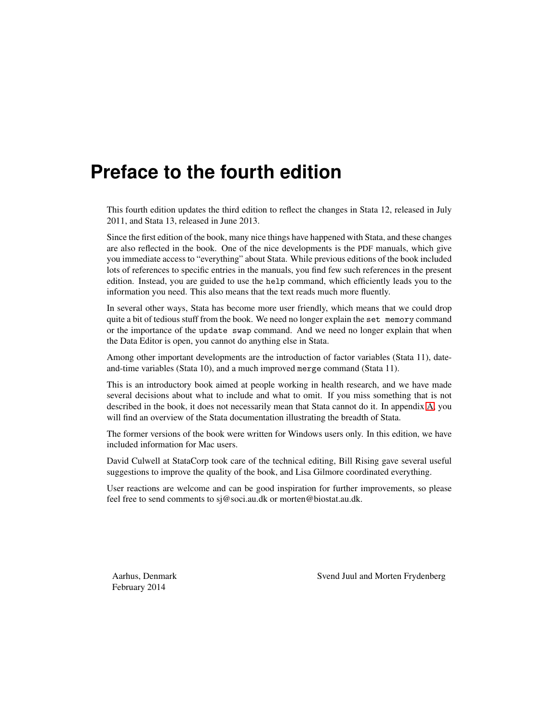# **Preface to the fourth edition**

This fourth edition updates the third edition to reflect the changes in Stata 12, released in July 2011, and Stata 13, released in June 2013.

Since the first edition of the book, many nice things have happened with Stata, and these changes are also reflected in the book. One of the nice developments is the PDF manuals, which give you immediate access to "everything" about Stata. While previous editions of the book included lots of references to specific entries in the manuals, you find few such references in the present edition. Instead, you are guided to use the help command, which efficiently leads you to the information you need. This also means that the text reads much more fluently.

In several other ways, Stata has become more user friendly, which means that we could drop quite a bit of tedious stuff from the book. We need no longer explain the set memory command or the importance of the update swap command. And we need no longer explain that when the Data Editor is open, you cannot do anything else in Stata.

Among other important developments are the introduction of factor variables (Stata 11), dateand-time variables (Stata 10), and a much improved merge command (Stata 11).

This is an introductory book aimed at people working in health research, and we have made several decisions about what to include and what to omit. If you miss something that is not described in the book, it does not necessarily mean that Stata cannot do it. In appendix A, you will find an overview of the Stata documentation illustrating the breadth of Stata.

The former versions of the book were written for Windows users only. In this edition, we have included information for Mac users.

David Culwell at StataCorp took care of the technical editing, Bill Rising gave several useful suggestions to improve the quality of the book, and Lisa Gilmore coordinated everything.

User reactions are welcome and can be good inspiration for further improvements, so please feel free to send comments to sj@soci.au.dk or morten@biostat.au.dk.

February 2014

Aarhus, Denmark Svend Juul and Morten Frydenberg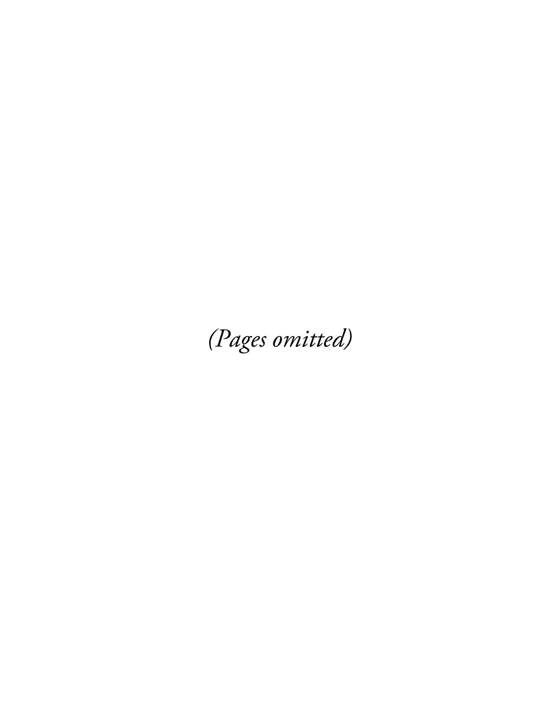(Pages omitted)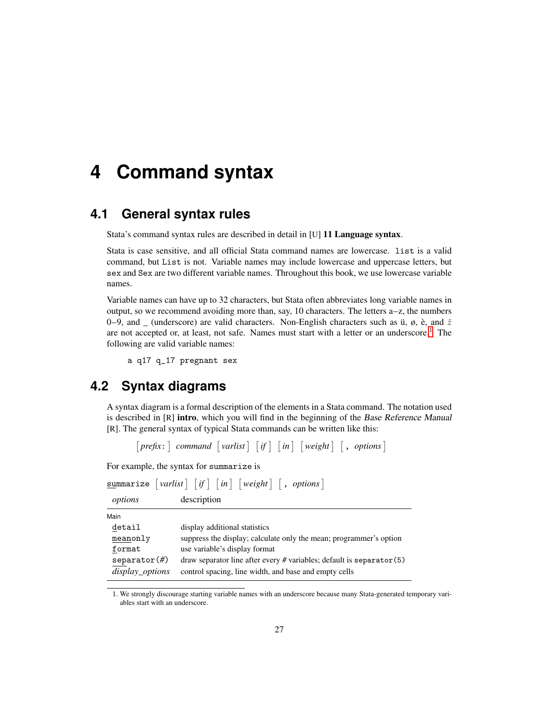# **4 Command syntax**

## **4.1 General syntax rules**

Stata's command syntax rules are described in detail in [U] 11 Language syntax.

Stata is case sensitive, and all official Stata command names are lowercase. list is a valid command, but List is not. Variable names may include lowercase and uppercase letters, but sex and Sex are two different variable names. Throughout this book, we use lowercase variable names.

Variable names can have up to 32 characters, but Stata often abbreviates long variable names in output, so we recommend avoiding more than, say, 10 characters. The letters a–z, the numbers 0–9, and \_ (underscore) are valid characters. Non-English characters such as  $\ddot{u}$ ,  $\phi$ ,  $\dot{e}$ , and  $\ddot{z}$ are not accepted or, at least, not safe. Names must start with a letter or an underscore.<sup>1</sup> The following are valid variable names:

a q17 q\_17 pregnant sex

#### **4.2 Syntax diagrams**

A syntax diagram is a formal description of the elements in a Stata command. The notation used is described in [R] **intro**, which you will find in the beginning of the Base Reference Manual [R]. The general syntax of typical Stata commands can be written like this:

 $[prefix:] command [varlist] [if] [in] [weight] [, options]$ 

For example, the syntax for summarize is

|                                  | summarize $\lceil \text{varlist} \rceil \lceil \text{if} \rceil \lceil \text{in} \rceil \lceil \text{weight} \rceil \lceil \text{, options} \rceil$ |
|----------------------------------|-----------------------------------------------------------------------------------------------------------------------------------------------------|
| options                          | description                                                                                                                                         |
| Main                             |                                                                                                                                                     |
| detail                           | display additional statistics                                                                                                                       |
| meanonly                         | suppress the display; calculate only the mean; programmer's option                                                                                  |
| format                           | use variable's display format                                                                                                                       |
| separation(f)<br>display_options | draw separator line after every $#$ variables; default is separator $(5)$<br>control spacing, line width, and base and empty cells                  |

<sup>1</sup>. We strongly discourage starting variable names with an underscore because many Stata-generated temporary variables start with an underscore.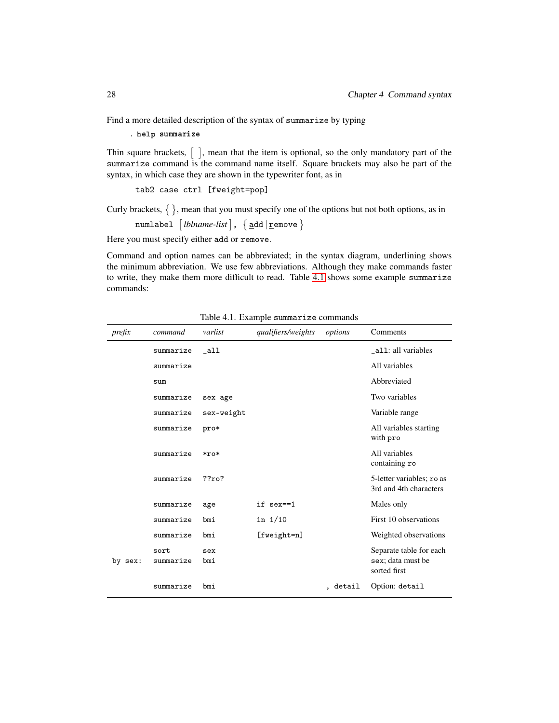Find a more detailed description of the syntax of summarize by typing

. help summarize

Thin square brackets,  $\lceil \ \rceil$ , mean that the item is optional, so the only mandatory part of the summarize command is the command name itself. Square brackets may also be part of the syntax, in which case they are shown in the typewriter font, as in

tab2 case ctrl [fweight=pop]

Curly brackets,  $\{\}$ , mean that you must specify one of the options but not both options, as in

numlabel - *lblname-list* , add | remove 

Here you must specify either add or remove.

Command and option names can be abbreviated; in the syntax diagram, underlining shows the minimum abbreviation. We use few abbreviations. Although they make commands faster to write, they make them more difficult to read. Table 4.1 shows some example summarize commands:

| prefix  | command           | varlist    | qualifiers/weights | options | Comments                                                     |
|---------|-------------------|------------|--------------------|---------|--------------------------------------------------------------|
|         | summarize         | $\_all$    |                    |         | _all: all variables                                          |
|         | summarize         |            |                    |         | All variables                                                |
|         | sum               |            |                    |         | Abbreviated                                                  |
|         | summarize         | sex age    |                    |         | Two variables                                                |
|         | summarize         | sex-weight |                    |         | Variable range                                               |
|         | summarize         | pro*       |                    |         | All variables starting<br>with pro                           |
|         | summarize         | $*ro*$     |                    |         | All variables<br>containing ro                               |
|         | summarize         | ??ro?      |                    |         | 5-letter variables; ro as<br>3rd and 4th characters          |
|         | summarize         | age        | if sex==1          |         | Males only                                                   |
|         | summarize         | bmi        | in $1/10$          |         | First 10 observations                                        |
|         | summarize         | bmi        | $[fweight=n]$      |         | Weighted observations                                        |
| by sex: | sort<br>summarize | sex<br>bmi |                    |         | Separate table for each<br>sex; data must be<br>sorted first |
|         | summarize         | bmi        |                    | detail  | Option: detail                                               |

Table 4.1. Example summarize commands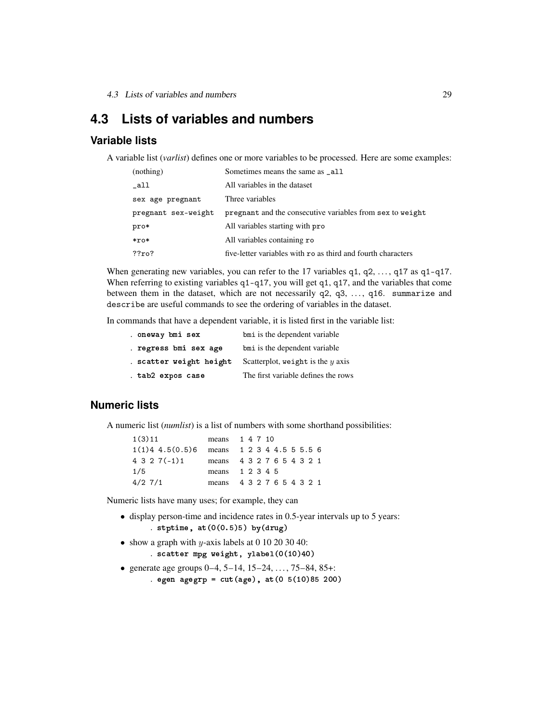4.3 Lists of variables and numbers 29

## **4.3 Lists of variables and numbers**

#### **Variable lists**

A variable list (*varlist*) defines one or more variables to be processed. Here are some examples:

| (nothing)           | Sometimes means the same as _all                             |
|---------------------|--------------------------------------------------------------|
| _all                | All variables in the dataset                                 |
| sex age pregnant    | Three variables                                              |
| pregnant sex-weight | pregnant and the consecutive variables from sex to weight    |
| pro*                | All variables starting with pro                              |
| $*ro*$              | All variables containing ro                                  |
| ?7ro?               | five-letter variables with ro as third and fourth characters |

When generating new variables, you can refer to the 17 variables  $q1, q2, \ldots, q17$  as  $q1-q17$ . When referring to existing variables  $q1-q17$ , you will get  $q1$ ,  $q17$ , and the variables that come between them in the dataset, which are not necessarily  $q2$ ,  $q3$ , ...,  $q16$ . summarize and describe are useful commands to see the ordering of variables in the dataset.

In commands that have a dependent variable, it is listed first in the variable list:

| . oneway bmi sex        | bmi is the dependent variable       |
|-------------------------|-------------------------------------|
| . regress bmi sex age   | bmi is the dependent variable       |
| . scatter weight height | Scatterplot, weight is the $y$ axis |
| . tab2 expos case       | The first variable defines the rows |

#### **Numeric lists**

A numeric list (*numlist*) is a list of numbers with some shorthand possibilities:

| 1(3)11            | means 1 4 7 10            |
|-------------------|---------------------------|
| $1(1)4$ 4.5(0.5)6 | means 1 2 3 4 4.5 5 5.5 6 |
| $4327(-1)1$       | means 4 3 2 7 6 5 4 3 2 1 |
| 1/5               | means 1 2 3 4 5           |
| $4/2$ 7/1         | means 4 3 2 7 6 5 4 3 2 1 |

Numeric lists have many uses; for example, they can

- display person-time and incidence rates in 0.5-year intervals up to 5 years: . stptime,  $at(0(0.5)5)$  by $(drug)$
- show a graph with y-axis labels at 0 10 20 30 40:

. s
atter mpg weight, ylabel(0(10)40)

• generate age groups  $0-4$ ,  $5-14$ ,  $15-24$ ,  $\dots$ ,  $75-84$ ,  $85+$ :

. egen agegrp =  $cut(age)$ , at $(0 5(10)85 200)$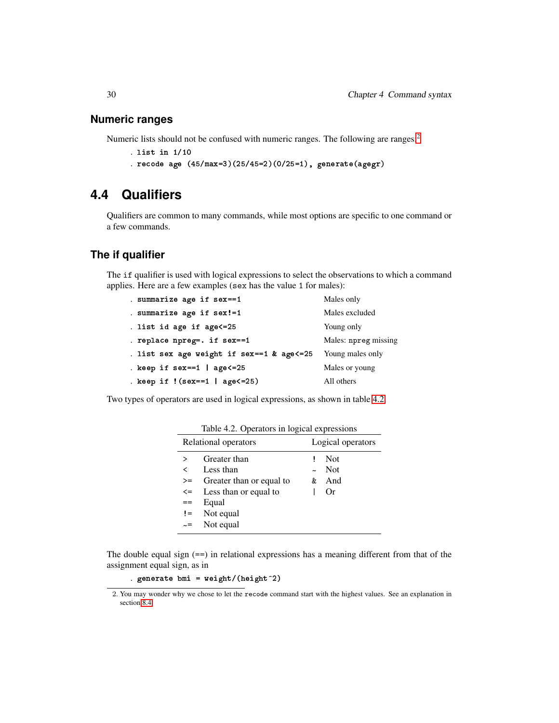#### **Numeric ranges**

Numeric lists should not be confused with numeric ranges. The following are ranges:<sup>2</sup>

```
. list in 1/10
```
. re
ode age (45/max=3)(25/45=2)(0/25=1), generate(agegr)

## **4.4 Qualifiers**

Qualifiers are common to many commands, while most options are specific to one command or a few commands.

#### **The if qualifier**

The if qualifier is used with logical expressions to select the observations to which a command applies. Here are a few examples (sex has the value 1 for males):

| . summarize age if sex==1                 | Males only           |
|-------------------------------------------|----------------------|
| . summarize age if sex!=1                 | Males excluded       |
| . list id age if age<=25                  | Young only           |
| . replace npreg=. if sex==1               | Males: npreg missing |
| . list sex age weight if sex==1 & age<=25 | Young males only     |
| . keep if $sex==1$   $age<=25$            | Males or young       |
| . keep if $!(sex==1   age<=25)$           | All others           |

Two types of operators are used in logical expressions, as shown in table 4.2.

|          | Relational operators     | Logical operators |            |  |
|----------|--------------------------|-------------------|------------|--|
|          | Greater than             |                   | <b>Not</b> |  |
| ✓        | Less than                |                   | - Not      |  |
| >=       | Greater than or equal to | &                 | And        |  |
| $\leq$   | Less than or equal to    |                   | Or         |  |
| ==       | Equal                    |                   |            |  |
| $!=$     | Not equal                |                   |            |  |
| $\sim =$ | Not equal                |                   |            |  |
|          |                          |                   |            |  |

Table 4.2. Operators in logical expressions

The double equal sign  $(==)$  in relational expressions has a meaning different from that of the assignment equal sign, as in

. generate bmi =  $weight/(height^2)$ 

<sup>2</sup>. You may wonder why we chose to let the recode command start with the highest values. See an explanation in section 8.4.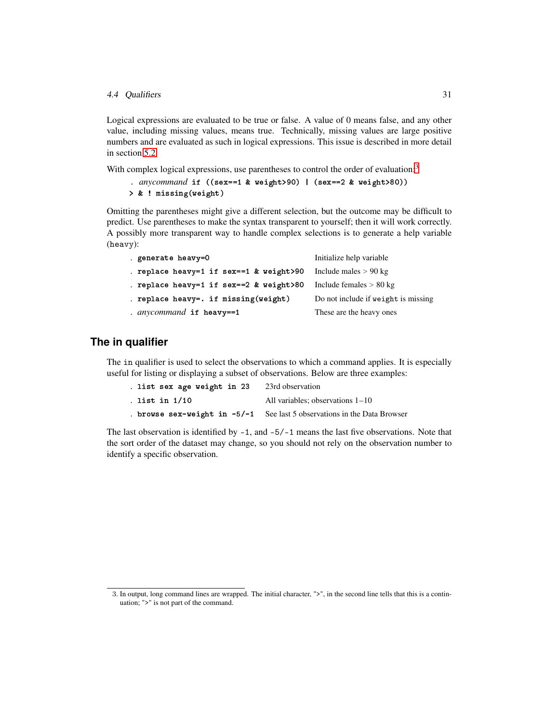#### 4.4 Qualifiers 31

Logical expressions are evaluated to be true or false. A value of 0 means false, and any other value, including missing values, means true. Technically, missing values are large positive numbers and are evaluated as such in logical expressions. This issue is described in more detail in section 5.2.

With complex logical expressions, use parentheses to control the order of evaluation:<sup>3</sup>

```
. anycommand if ((sex==1 & weight>90) | (sex==2 & weight>80))
> & ! missing(weight)
```
Omitting the parentheses might give a different selection, but the outcome may be difficult to predict. Use parentheses to make the syntax transparent to yourself; then it will work correctly. A possibly more transparent way to handle complex selections is to generate a help variable (heavy):

| generate heavy=0                        | Initialize help variable            |
|-----------------------------------------|-------------------------------------|
| . replace heavy=1 if sex==1 & weight>90 | Include males $> 90 \text{ kg}$     |
| . replace heavy=1 if sex==2 & weight>80 | Include females $> 80$ kg           |
| . replace heavy=. if missing(weight)    | Do not include if weight is missing |
| . anycommand if heavy==1                | These are the heavy ones            |

#### **The in qualifier**

The in qualifier is used to select the observations to which a command applies. It is especially useful for listing or displaying a subset of observations. Below are three examples:

| . list sex age weight in 23 | 23rd observation                                                                |
|-----------------------------|---------------------------------------------------------------------------------|
| . list in 1/10              | All variables: observations $1-10$                                              |
|                             | <b>browse</b> sex-weight in $-5/-1$ See last 5 observations in the Data Browser |

The last observation is identified by -1, and -5/-1 means the last five observations. Note that the sort order of the dataset may change, so you should not rely on the observation number to identify a specific observation.

<sup>3</sup>. In output, long command lines are wrapped. The initial character, ">", in the second line tells that this is a continuation; ">" is not part of the command.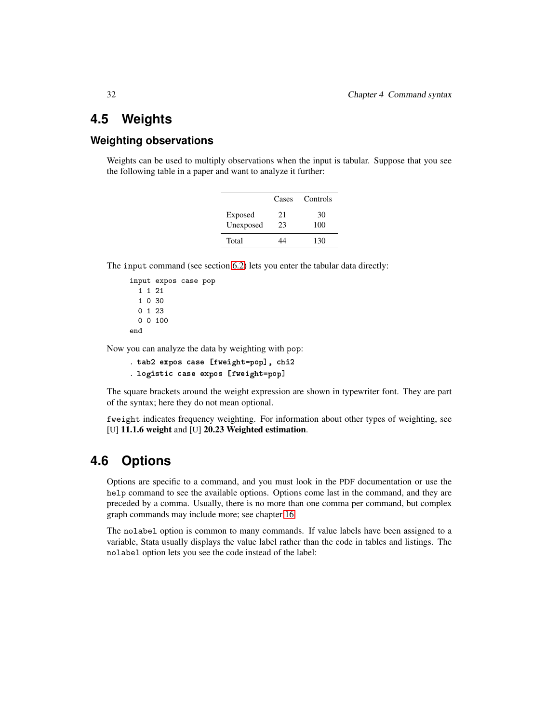## **4.5 Weights**

#### **Weighting observations**

Weights can be used to multiply observations when the input is tabular. Suppose that you see the following table in a paper and want to analyze it further:

|           | Cases | Controls |
|-----------|-------|----------|
| Exposed   | 21    | 30       |
| Unexposed | 23    | 100      |
| Total     |       | 130      |

The input command (see section 6.2) lets you enter the tabular data directly:

```
input expos case pop
 1 1 21
 1 0 30
  0 1 23
  0 0 100
end
```
Now you can analyze the data by weighting with pop:

```
. tab2 expos case [fweight=pop], chi2
. logistic case expos [fweight=pop]
```
The square brackets around the weight expression are shown in typewriter font. They are part of the syntax; here they do not mean optional.

fweight indicates frequency weighting. For information about other types of weighting, see [U] 11.1.6 weight and [U] 20.23 Weighted estimation.

### **4.6 Options**

Options are specific to a command, and you must look in the PDF documentation or use the help command to see the available options. Options come last in the command, and they are preceded by a comma. Usually, there is no more than one comma per command, but complex graph commands may include more; see chapter 16.

The nolabel option is common to many commands. If value labels have been assigned to a variable, Stata usually displays the value label rather than the code in tables and listings. The nolabel option lets you see the code instead of the label: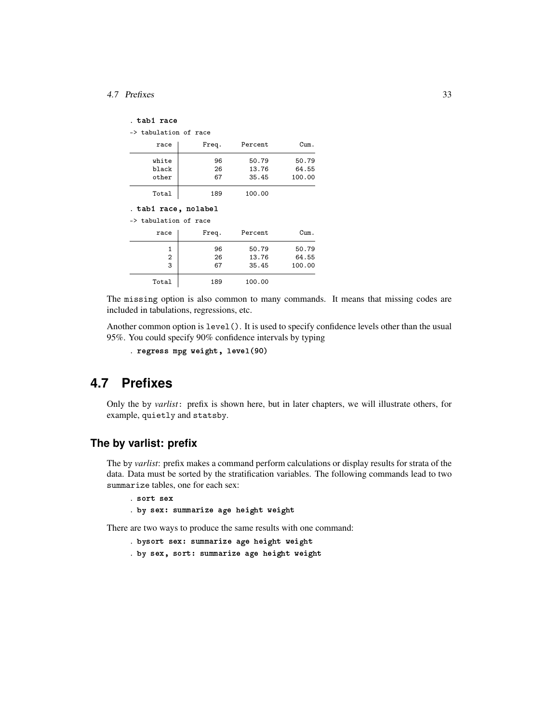#### 4.7 Prefixes 33

-> tabulation of race

| race  | Freq. | Percent | Cum.   |
|-------|-------|---------|--------|
| white | 96    | 50.79   | 50.79  |
| black | 26    | 13.76   | 64.55  |
| other | 67    | 35.45   | 100.00 |
| Total | 189   | 100.00  |        |

. tab1 ra
e, nolabel

-> tabulation of race

| race           | Freq. | Percent | Cum.   |
|----------------|-------|---------|--------|
|                | 96    | 50.79   | 50.79  |
| $\overline{2}$ | 26    | 13.76   | 64.55  |
| 3              | 67    | 35.45   | 100.00 |
| Total          | 189   | 100.00  |        |

The missing option is also common to many commands. It means that missing codes are included in tabulations, regressions, etc.

Another common option is level(). It is used to specify confidence levels other than the usual 95%. You could specify 90% confidence intervals by typing

```
. regress mpg weight, level(90)
```
## **4.7 Prefixes**

Only the by *varlist*: prefix is shown here, but in later chapters, we will illustrate others, for example, quietly and statsby.

#### **The by varlist: prefix**

The by *varlist*: prefix makes a command perform calculations or display results for strata of the data. Data must be sorted by the stratification variables. The following commands lead to two summarize tables, one for each sex:

```
. sort sex
```

```
. by sex: summarize age height weight
```
There are two ways to produce the same results with one command:

- . bysort sex: summarize age height weight
- . by sex, sort: summarize age height weight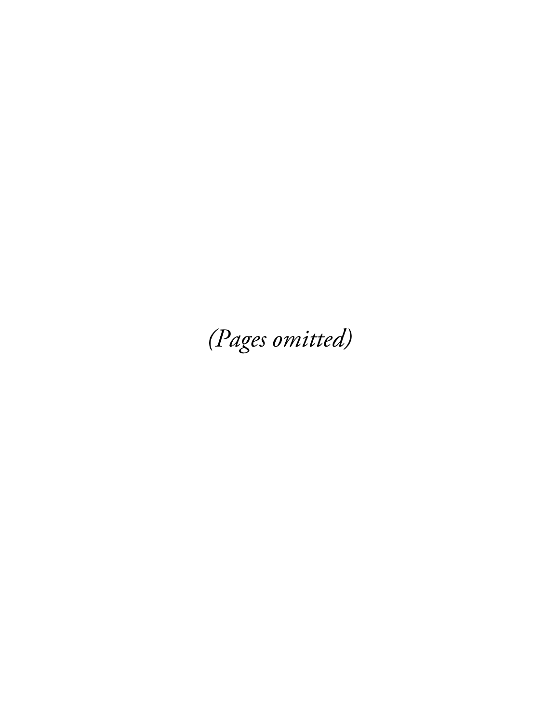(Pages omitted)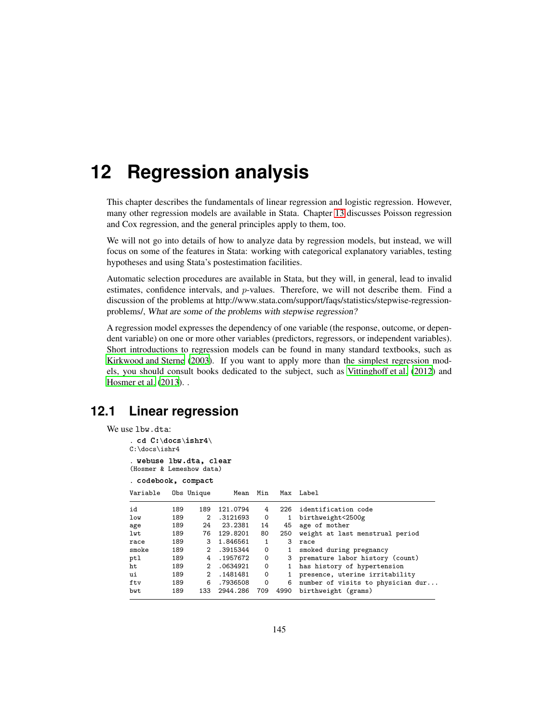# **12 Regression analysis**

This chapter describes the fundamentals of linear regression and logistic regression. However, many other regression models are available in Stata. Chapter 13 discusses Poisson regression and Cox regression, and the general principles apply to them, too.

We will not go into details of how to analyze data by regression models, but instead, we will focus on some of the features in Stata: working with categorical explanatory variables, testing hypotheses and using Stata's postestimation facilities.

Automatic selection procedures are available in Stata, but they will, in general, lead to invalid estimates, confidence intervals, and p-values. Therefore, we will not describe them. Find a discussion of the problems at http://www.stata.com/support/faqs/statistics/stepwise-regressionproblems/, What are some of the problems with stepwise regression?

A regression model expresses the dependency of one variable (the response, outcome, or dependent variable) on one or more other variables (predictors, regressors, or independent variables). Short introductions to regression models can be found in many standard textbooks, such as Kirkwood and Sterne (2003). If you want to apply more than the simplest regression models, you should consult books dedicated to the subject, such as Vittinghoff et al. (2012) and Hosmer et al. (2013). .

## **12.1 Linear regression**

```
We use lbw.dta:
     . cd C:\docs\ishr4\
     C:\docs\ishr4
     . webuse lbw.dta, 
lear
     (Hosmer & Lemeshow data)
     . 
odebook, 
ompa
t
     Variable Obs Unique Mean Min Max Label
     id 189 189 121.0794 4 226 identification code
     low 189 2 .3121693 0 1 birthweight<2500g
     age 189 24 23.2381 14 45 age of mother<br>1wt 189 76 129.8201 80 250 weight at las
     lwt 189 76 129.8201 80 250 weight at last menstrual period
     race 189 3 1.846561 1 3 race
     smoke 189 2 .3915344 0 1 smoked during pregnancy
     ptl 189 4 .1957672 0 3 premature labor history (count)<br>ht 189 2 .0634921 0 1 has history of hypertension
     ht 189 2 .0634921 0 1 has history of hypertension
     ui 189 2 .1481481 0 1 presence, uterine irritability<br>ftv 189 6 .7936508 0 6 number of visits to physician
     ftv 189 6 .7936508 0 6 number of visits to physician dur...
     bwt 189 133 2944.286 709 4990 birthweight (grams)
```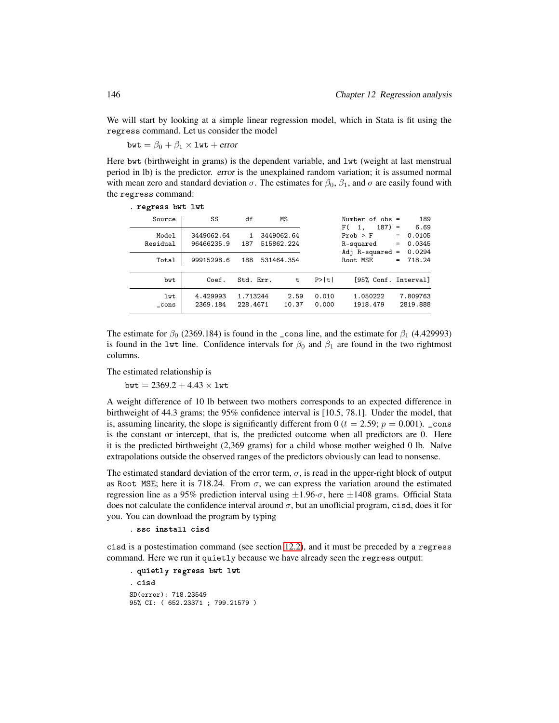We will start by looking at a simple linear regression model, which in Stata is fit using the regress command. Let us consider the model

bwt =  $\beta_0 + \beta_1 \times 1$ wt + error

Here bwt (birthweight in grams) is the dependent variable, and lwt (weight at last menstrual period in lb) is the predictor. error is the unexplained random variation; it is assumed normal with mean zero and standard deviation  $\sigma$ . The estimates for  $\beta_0$ ,  $\beta_1$ , and  $\sigma$  are easily found with the regress command:

| . regress bwt lwt |            |           |              |       |       |                                      |                    |
|-------------------|------------|-----------|--------------|-------|-------|--------------------------------------|--------------------|
| Source            | SS         | df        |              | ΜS    |       | Number of $obs =$                    | 189                |
| Model             | 3449062.64 |           | 1 3449062.64 |       |       | $187) =$<br>F(1,<br>$Prob$ > $F$     | 6.69<br>$= 0.0105$ |
| Residual          | 96466235.9 | 187       | 515862.224   |       |       | R-squared                            | $= 0.0345$         |
| Total             | 99915298.6 | 188       | 531464.354   |       |       | Adj R-squared = $0.0294$<br>Root MSE | $= 718.24$         |
| bwt               | Coef.      | Std. Err. |              | t     | P> t  | [95% Conf. Interval]                 |                    |
| lwt               | 4.429993   | 1.713244  |              | 2.59  | 0.010 | 1.050222                             | 7.809763           |
| $_{\rm -cons}$    | 2369.184   | 228.4671  |              | 10.37 | 0.000 | 1918.479                             | 2819.888           |

The estimate for  $\beta_0$  (2369.184) is found in the \_cons line, and the estimate for  $\beta_1$  (4.429993) is found in the lwt line. Confidence intervals for  $\beta_0$  and  $\beta_1$  are found in the two rightmost columns.

The estimated relationship is

bwt =  $2369.2 + 4.43 \times 1$ wt

A weight difference of 10 lb between two mothers corresponds to an expected difference in birthweight of 44.3 grams; the 95% confidence interval is [10.5, 78.1]. Under the model, that is, assuming linearity, the slope is significantly different from 0 ( $t = 2.59$ ;  $p = 0.001$ ). \_cons is the constant or intercept, that is, the predicted outcome when all predictors are 0. Here it is the predicted birthweight (2,369 grams) for a child whose mother weighed 0 lb. Naïve extrapolations outside the observed ranges of the predictors obviously can lead to nonsense.

The estimated standard deviation of the error term,  $\sigma$ , is read in the upper-right block of output as Root MSE; here it is 718.24. From  $\sigma$ , we can express the variation around the estimated regression line as a 95% prediction interval using  $\pm 1.96 \cdot \sigma$ , here  $\pm 1408$  grams. Official Stata does not calculate the confidence interval around  $\sigma$ , but an unofficial program, cisd, does it for you. You can download the program by typing

. ss install isd

cisd is a postestimation command (see section 12.2), and it must be preceded by a regress command. Here we run it quietly because we have already seen the regress output:

```
. quietly regress bwt lwt
. cisd and the contract of the contract of the contract of the contract of the contract of the contract of the
SD(error): 718.23549
95% CI: ( 652.23371 ; 799.21579 )
```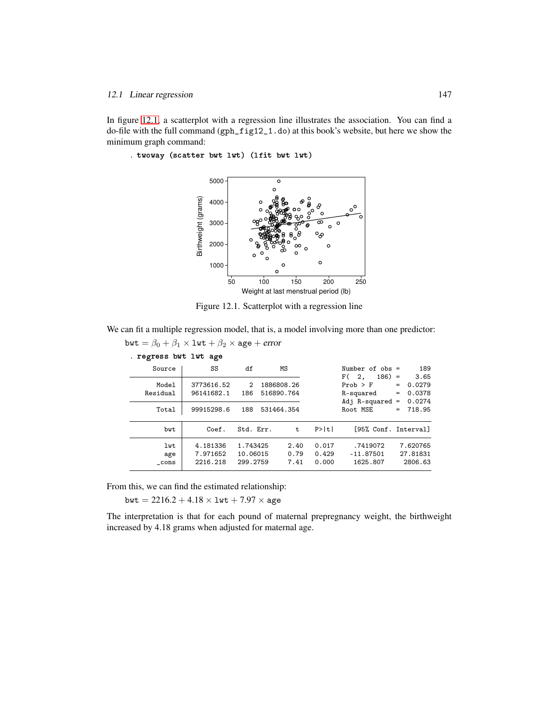In figure 12.1, a scatterplot with a regression line illustrates the association. You can find a do-file with the full command (gph\_fig12\_1.do) at this book's website, but here we show the minimum graph command:

. twoway (s
atter bwt lwt) (lfit bwt lwt)



Figure 12.1. Scatterplot with a regression line

We can fit a multiple regression model, that is, a model involving more than one predictor:

bwt =  $\beta_0 + \beta_1 \times 1$ wt +  $\beta_2 \times$  age + error . regress bwt lwt age Source SS df MS Number of obs = 189<br>
F( 2, 186) = 3.65  $F(2, 186) = 3.65$ <br>Prob > F = 0.0279 Model 3773616.52 2 1886808.26 Prob > F = 0.0279<br>Residual 96141682.1 186 516890.764 R-squared = 0.0378 Residual 96141682.1 186 516890.764 R-squared = 0.0378 Adj R-squared =  $0.0274$ <br>Root MSE =  $718.95$  $Total | 99915298.6 188 531464.354$ bwt Coef. Std. Err. t P>|t| [95% Conf. Interval] lwt 4.181336 1.743425 2.40 0.017 .7419072 7.620765 age 7.971652 10.06015 0.79 0.429 -11.87501 27.81831  $\text{\_cons}$  2216.218 299.2759

From this, we can find the estimated relationship:

bwt =  $2216.2 + 4.18 \times 1$ wt +  $7.97 \times$  age

The interpretation is that for each pound of maternal prepregnancy weight, the birthweight increased by 4.18 grams when adjusted for maternal age.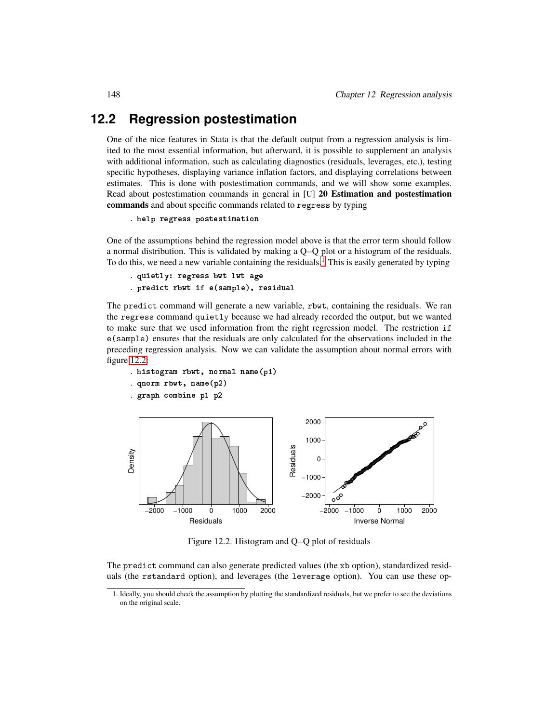## **12.2 Regression postestimation**

One of the nice features in Stata is that the default output from a regression analysis is limited to the most essential information, but afterward, it is possible to supplement an analysis with additional information, such as calculating diagnostics (residuals, leverages, etc.), testing specific hypotheses, displaying variance inflation factors, and displaying correlations between estimates. This is done with postestimation commands, and we will show some examples. Read about postestimation commands in general in [U] 20 Estimation and postestimation commands and about specific commands related to regress by typing

```
. help regress postestimation
```
One of the assumptions behind the regression model above is that the error term should follow a normal distribution. This is validated by making a Q–Q plot or a histogram of the residuals. To do this, we need a new variable containing the residuals.<sup>1</sup> This is easily generated by typing

```
. quietly: regress bwt lwt age
. predi
t rbwt if e(sample), residual
```
The predict command will generate a new variable, rbwt, containing the residuals. We ran the regress command quietly because we had already recorded the output, but we wanted to make sure that we used information from the right regression model. The restriction if e(sample) ensures that the residuals are only calculated for the observations included in the preceding regression analysis. Now we can validate the assumption about normal errors with figure 12.2:

- . histogram rbwt, normal name(p1)
- . qnorm rbwt, name(p2)
- . graph ombine p1 p2



Figure 12.2. Histogram and Q–Q plot of residuals

The predict command can also generate predicted values (the xb option), standardized residuals (the rstandard option), and leverages (the leverage option). You can use these op-

<sup>1</sup>. Ideally, you should check the assumption by plotting the standardized residuals, but we prefer to see the deviations on the original scale.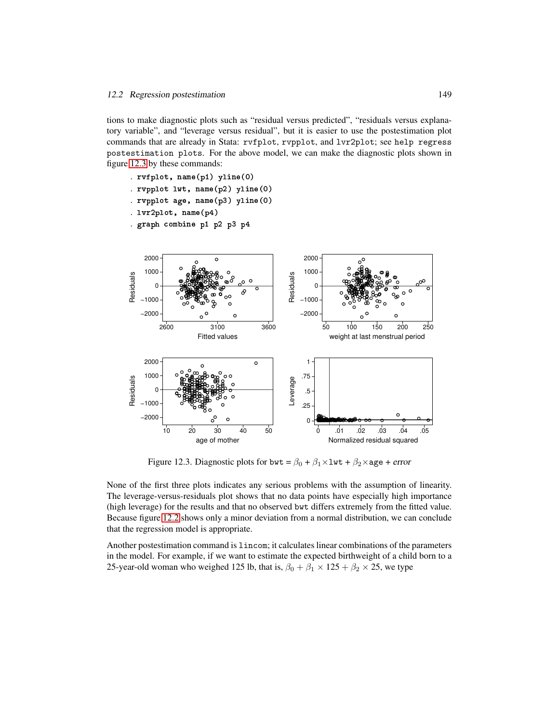#### 12.2 Regression postestimation 149

tions to make diagnostic plots such as "residual versus predicted", "residuals versus explanatory variable", and "leverage versus residual", but it is easier to use the postestimation plot commands that are already in Stata: rvfplot, rvpplot, and lvr2plot; see help regress postestimation plots. For the above model, we can make the diagnostic plots shown in figure 12.3 by these commands:



Figure 12.3. Diagnostic plots for bwt =  $\beta_0 + \beta_1 \times 1$ wt +  $\beta_2 \times$ age + error

None of the first three plots indicates any serious problems with the assumption of linearity. The leverage-versus-residuals plot shows that no data points have especially high importance (high leverage) for the results and that no observed bwt differs extremely from the fitted value. Because figure 12.2 shows only a minor deviation from a normal distribution, we can conclude that the regression model is appropriate.

Another postestimation command is lincom; it calculates linear combinations of the parameters in the model. For example, if we want to estimate the expected birthweight of a child born to a 25-year-old woman who weighed 125 lb, that is,  $\beta_0 + \beta_1 \times 125 + \beta_2 \times 25$ , we type